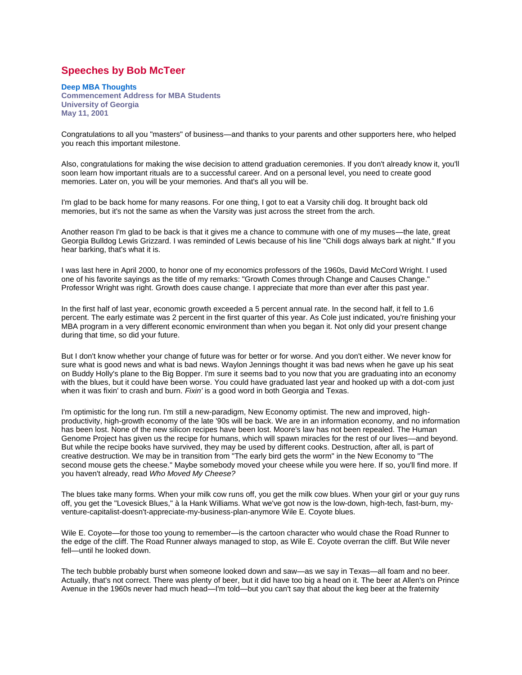## **Speeches by Bob McTeer**

## **Deep MBA Thoughts**

**Commencement Address for MBA Students University of Georgia May 11, 2001** 

Congratulations to all you "masters" of business—and thanks to your parents and other supporters here, who helped you reach this important milestone.

Also, congratulations for making the wise decision to attend graduation ceremonies. If you don't already know it, you'll soon learn how important rituals are to a successful career. And on a personal level, you need to create good memories. Later on, you will be your memories. And that's all you will be.

I'm glad to be back home for many reasons. For one thing, I got to eat a Varsity chili dog. It brought back old memories, but it's not the same as when the Varsity was just across the street from the arch.

Another reason I'm glad to be back is that it gives me a chance to commune with one of my muses—the late, great Georgia Bulldog Lewis Grizzard. I was reminded of Lewis because of his line "Chili dogs always bark at night." If you hear barking, that's what it is.

I was last here in April 2000, to honor one of my economics professors of the 1960s, David McCord Wright. I used one of his favorite sayings as the title of my remarks: "Growth Comes through Change and Causes Change." Professor Wright was right. Growth does cause change. I appreciate that more than ever after this past year.

In the first half of last year, economic growth exceeded a 5 percent annual rate. In the second half, it fell to 1.6 percent. The early estimate was 2 percent in the first quarter of this year. As Cole just indicated, you're finishing your MBA program in a very different economic environment than when you began it. Not only did your present change during that time, so did your future.

But I don't know whether your change of future was for better or for worse. And you don't either. We never know for sure what is good news and what is bad news. Waylon Jennings thought it was bad news when he gave up his seat on Buddy Holly's plane to the Big Bopper. I'm sure it seems bad to you now that you are graduating into an economy with the blues, but it could have been worse. You could have graduated last year and hooked up with a dot-com just when it was fixin' to crash and burn. *Fixin'* is a good word in both Georgia and Texas.

I'm optimistic for the long run. I'm still a new-paradigm, New Economy optimist. The new and improved, highproductivity, high-growth economy of the late '90s will be back. We are in an information economy, and no information has been lost. None of the new silicon recipes have been lost. Moore's law has not been repealed. The Human Genome Project has given us the recipe for humans, which will spawn miracles for the rest of our lives—and beyond. But while the recipe books have survived, they may be used by different cooks. Destruction, after all, is part of creative destruction. We may be in transition from "The early bird gets the worm" in the New Economy to "The second mouse gets the cheese." Maybe somebody moved your cheese while you were here. If so, you'll find more. If you haven't already, read *Who Moved My Cheese?*

The blues take many forms. When your milk cow runs off, you get the milk cow blues. When your girl or your guy runs off, you get the "Lovesick Blues," à la Hank Williams. What we've got now is the low-down, high-tech, fast-burn, myventure-capitalist-doesn't-appreciate-my-business-plan-anymore Wile E. Coyote blues.

Wile E. Coyote—for those too young to remember—is the cartoon character who would chase the Road Runner to the edge of the cliff. The Road Runner always managed to stop, as Wile E. Coyote overran the cliff. But Wile never fell—until he looked down.

The tech bubble probably burst when someone looked down and saw—as we say in Texas—all foam and no beer. Actually, that's not correct. There was plenty of beer, but it did have too big a head on it. The beer at Allen's on Prince Avenue in the 1960s never had much head—I'm told—but you can't say that about the keg beer at the fraternity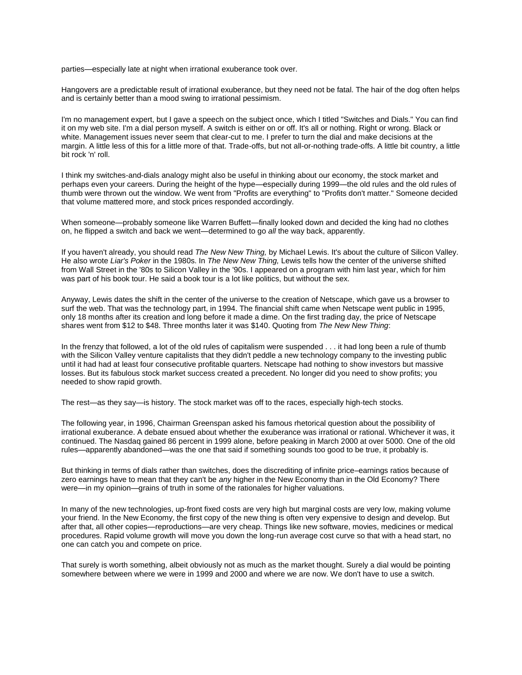parties—especially late at night when irrational exuberance took over.

Hangovers are a predictable result of irrational exuberance, but they need not be fatal. The hair of the dog often helps and is certainly better than a mood swing to irrational pessimism.

I'm no management expert, but I gave a speech on the subject once, which I titled "Switches and Dials." You can find it on my web site. I'm a dial person myself. A switch is either on or off. It's all or nothing. Right or wrong. Black or white. Management issues never seem that clear-cut to me. I prefer to turn the dial and make decisions at the margin. A little less of this for a little more of that. Trade-offs, but not all-or-nothing trade-offs. A little bit country, a little bit rock 'n' roll.

I think my switches-and-dials analogy might also be useful in thinking about our economy, the stock market and perhaps even your careers. During the height of the hype—especially during 1999—the old rules and the old rules of thumb were thrown out the window. We went from "Profits are everything" to "Profits don't matter." Someone decided that volume mattered more, and stock prices responded accordingly.

When someone—probably someone like Warren Buffett—finally looked down and decided the king had no clothes on, he flipped a switch and back we went—determined to go *all* the way back, apparently.

If you haven't already, you should read *The New New Thing,* by Michael Lewis. It's about the culture of Silicon Valley. He also wrote *Liar's Poker* in the 1980s. In *The New New Thing,* Lewis tells how the center of the universe shifted from Wall Street in the '80s to Silicon Valley in the '90s. I appeared on a program with him last year, which for him was part of his book tour. He said a book tour is a lot like politics, but without the sex.

Anyway, Lewis dates the shift in the center of the universe to the creation of Netscape, which gave us a browser to surf the web. That was the technology part, in 1994. The financial shift came when Netscape went public in 1995, only 18 months after its creation and long before it made a dime. On the first trading day, the price of Netscape shares went from \$12 to \$48. Three months later it was \$140. Quoting from *The New New Thing*:

In the frenzy that followed, a lot of the old rules of capitalism were suspended . . . it had long been a rule of thumb with the Silicon Valley venture capitalists that they didn't peddle a new technology company to the investing public until it had had at least four consecutive profitable quarters. Netscape had nothing to show investors but massive losses. But its fabulous stock market success created a precedent. No longer did you need to show profits; you needed to show rapid growth.

The rest—as they say—is history. The stock market was off to the races, especially high-tech stocks.

The following year, in 1996, Chairman Greenspan asked his famous rhetorical question about the possibility of irrational exuberance. A debate ensued about whether the exuberance was irrational or rational. Whichever it was, it continued. The Nasdaq gained 86 percent in 1999 alone, before peaking in March 2000 at over 5000. One of the old rules—apparently abandoned—was the one that said if something sounds too good to be true, it probably is.

But thinking in terms of dials rather than switches, does the discrediting of infinite price–earnings ratios because of zero earnings have to mean that they can't be *any* higher in the New Economy than in the Old Economy? There were—in my opinion—grains of truth in some of the rationales for higher valuations.

In many of the new technologies, up-front fixed costs are very high but marginal costs are very low, making volume your friend. In the New Economy, the first copy of the new thing is often very expensive to design and develop. But after that, all other copies—reproductions—are very cheap. Things like new software, movies, medicines or medical procedures. Rapid volume growth will move you down the long-run average cost curve so that with a head start, no one can catch you and compete on price.

That surely is worth something, albeit obviously not as much as the market thought. Surely a dial would be pointing somewhere between where we were in 1999 and 2000 and where we are now. We don't have to use a switch.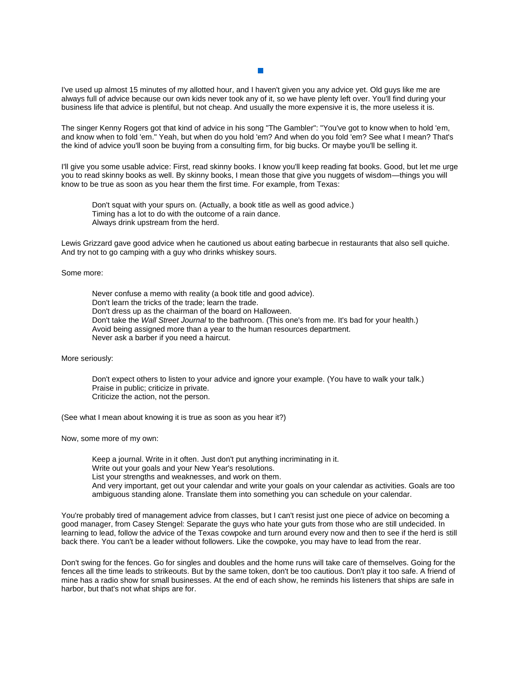$\overline{\phantom{a}}$ 

I've used up almost 15 minutes of my allotted hour, and I haven't given you any advice yet. Old guys like me are always full of advice because our own kids never took any of it, so we have plenty left over. You'll find during your business life that advice is plentiful, but not cheap. And usually the more expensive it is, the more useless it is.

The singer Kenny Rogers got that kind of advice in his song "The Gambler": "You've got to know when to hold 'em, and know when to fold 'em." Yeah, but when do you hold 'em? And when do you fold 'em? See what I mean? That's the kind of advice you'll soon be buying from a consulting firm, for big bucks. Or maybe you'll be selling it.

I'll give you some usable advice: First, read skinny books. I know you'll keep reading fat books. Good, but let me urge you to read skinny books as well. By skinny books, I mean those that give you nuggets of wisdom—things you will know to be true as soon as you hear them the first time. For example, from Texas:

Don't squat with your spurs on. (Actually, a book title as well as good advice.) Timing has a lot to do with the outcome of a rain dance. Always drink upstream from the herd.

Lewis Grizzard gave good advice when he cautioned us about eating barbecue in restaurants that also sell quiche. And try not to go camping with a guy who drinks whiskey sours.

Some more:

Never confuse a memo with reality (a book title and good advice). Don't learn the tricks of the trade; learn the trade. Don't dress up as the chairman of the board on Halloween. Don't take the *Wall Street Journal* to the bathroom. (This one's from me. It's bad for your health.) Avoid being assigned more than a year to the human resources department. Never ask a barber if you need a haircut.

More seriously:

Don't expect others to listen to your advice and ignore your example. (You have to walk your talk.) Praise in public; criticize in private. Criticize the action, not the person.

(See what I mean about knowing it is true as soon as you hear it?)

Now, some more of my own:

Keep a journal. Write in it often. Just don't put anything incriminating in it. Write out your goals and your New Year's resolutions. List your strengths and weaknesses, and work on them. And very important, get out your calendar and write your goals on your calendar as activities. Goals are too ambiguous standing alone. Translate them into something you can schedule on your calendar.

You're probably tired of management advice from classes, but I can't resist just one piece of advice on becoming a good manager, from Casey Stengel: Separate the guys who hate your guts from those who are still undecided. In learning to lead, follow the advice of the Texas cowpoke and turn around every now and then to see if the herd is still back there. You can't be a leader without followers. Like the cowpoke, you may have to lead from the rear.

Don't swing for the fences. Go for singles and doubles and the home runs will take care of themselves. Going for the fences all the time leads to strikeouts. But by the same token, don't be too cautious. Don't play it too safe. A friend of mine has a radio show for small businesses. At the end of each show, he reminds his listeners that ships are safe in harbor, but that's not what ships are for.